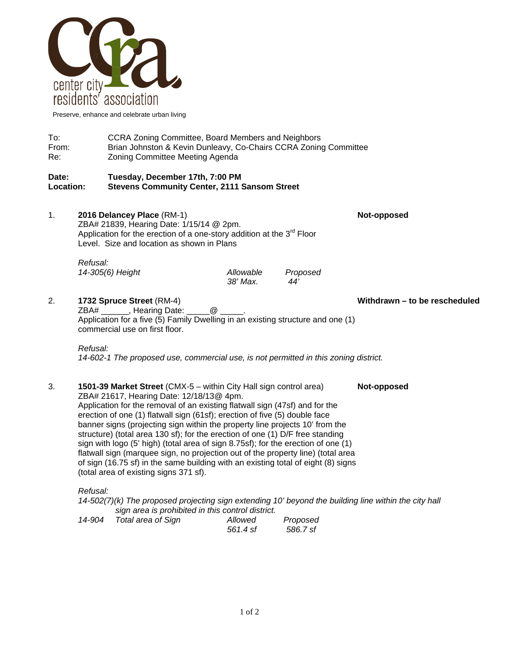

Preserve, enhance and celebrate urban living

To: CCRA Zoning Committee, Board Members and Neighbors From: Brian Johnston & Kevin Dunleavy, Co-Chairs CCRA Zoning Committee Re: Zoning Committee Meeting Agenda

#### **Date: Tuesday, December 17th, 7:00 PM Location: Stevens Community Center, 2111 Sansom Street**

1. **2016 Delancey Place** (RM-1) **Not-opposed** ZBA# 21839, Hearing Date: 1/15/14 @ 2pm. Application for the erection of a one-story addition at the 3<sup>rd</sup> Floor Level. Size and location as shown in Plans *Refusal: 14-305(6) Height Allowable Proposed* 

 *38' Max. 44'* 

### 2. **1732 Spruce Street** (RM-4) **Withdrawn – to be rescheduled**

ZBA# \_\_\_\_\_\_, Hearing Date: \_\_\_\_\_\_@ Application for a five (5) Family Dwelling in an existing structure and one (1) commercial use on first floor.

#### *Refusal:*

*14-602-1 The proposed use, commercial use, is not permitted in this zoning district.* 

3. **1501-39 Market Street** (CMX-5 – within City Hall sign control area) **Not-opposed** ZBA# 21617, Hearing Date: 12/18/13@ 4pm. Application for the removal of an existing flatwall sign (47sf) and for the erection of one (1) flatwall sign (61sf); erection of five (5) double face banner signs (projecting sign within the property line projects 10' from the structure) (total area 130 sf); for the erection of one (1) D/F free standing sign with logo (5' high) (total area of sign 8.75sf); for the erection of one (1) flatwall sign (marquee sign, no projection out of the property line) (total area of sign (16.75 sf) in the same building with an existing total of eight (8) signs (total area of existing signs 371 sf).

*Refusal:* 

*14-502(7)(k) The proposed projecting sign extending 10' beyond the building line within the city hall sign area is prohibited in this control district.* 

| 14-904 | Total area of Sign | Allowed  | Proposed |
|--------|--------------------|----------|----------|
|        |                    | 561.4 sf | 586.7 sf |